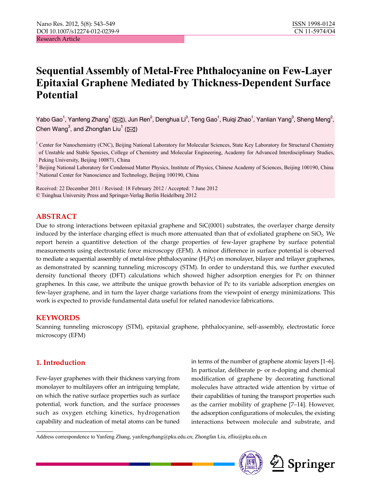# **Sequential Assembly of Metal-Free Phthalocyanine on Few-Layer Epitaxial Graphene Mediated by Thickness-Dependent Surface Potential**

Yabo Gao $^1$ , Yanfeng Zhang $^1$  ( $\boxtimes$ ), Jun Ren $^2$ , Denghua Li $^3$ , Teng Gao $^1$ , Ruiqi Zhao $^1$ , Yanlian Yang $^3$ , Sheng Meng $^2$ , Chen Wang $^3$ , and Zhongfan Liu $^1$  ( $\boxtimes$ )

<sup>1</sup> Center for Nanochemistry (CNC), Beijing National Laboratory for Molecular Sciences, State Key Laboratory for Structural Chemistry of Unstable and Stable Species, College of Chemistry and Molecular Engineering, Academy for Advanced Interdisciplinary Studies, Peking University, Beijing 100871, China

<sup>2</sup> Beijing National Laboratory for Condensed Matter Physics, Institute of Physics, Chinese Academy of Sciences, Beijing 100190, China <sup>3</sup> National Center for Nanoscience and Technology, Beijing 100190, China

Received: 22 December 2011 / Revised: 18 February 2012 / Accepted: 7 June 2012 © Tsinghua University Press and Springer-Verlag Berlin Heidelberg 2012

## **ABSTRACT**

Due to strong interactions between epitaxial graphene and SiC(0001) substrates, the overlayer charge density induced by the interface charging effect is much more attenuated than that of exfoliated graphene on  $SiO<sub>2</sub>$ . We report herein a quantitive detection of the charge properties of few-layer graphene by surface potential measurements using electrostatic force microscopy (EFM). A minor difference in surface potential is observed to mediate a sequential assembly of metal-free phthalocyanine  $(H<sub>2</sub>Pr)$  on monolayer, bilayer and trilayer graphenes, as demonstrated by scanning tunneling microscopy (STM). In order to understand this, we further executed density functional theory (DFT) calculations which showed higher adsorption energies for Pc on thinner graphenes. In this case, we attribute the unique growth behavior of Pc to its variable adsorption energies on few-layer graphene, and in turn the layer charge variations from the viewpoint of energy minimizations. This work is expected to provide fundamental data useful for related nanodevice fabrications.

#### **KEYWORDS**

Scanning tunneling microscopy (STM), epitaxial graphene, phthalocyanine, self-assembly, electrostatic force microscopy (EFM)

## **1. Introduction**

Few-layer graphenes with their thickness varying from monolayer to multilayers offer an intriguing template, on which the native surface properties such as surface potential, work function, and the surface processes such as oxygen etching kinetics, hydrogenation capability and nucleation of metal atoms can be tuned

in terms of the number of graphene atomic layers [1–6]. In particular, deliberate p- or n-doping and chemical modification of graphene by decorating functional molecules have attracted wide attention by virtue of their capabilities of tuning the transport properties such as the carrier mobility of graphene [7–14]. However, the adsorption configurations of molecules, the existing interactions between molecule and substrate, and

Address correspondence to Yanfeng Zhang, yanfengzhang@pku.edu.cn; Zhongfan Liu, zfliu@pku.edu.cn

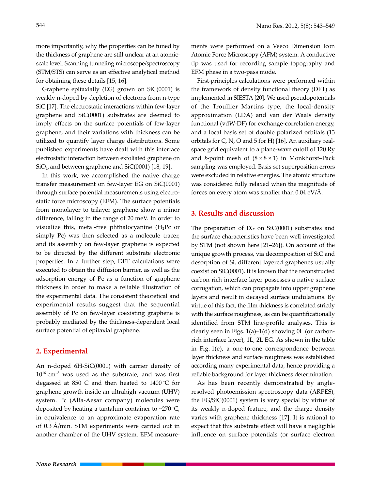more importantly, why the properties can be tuned by the thickness of graphene are still unclear at an atomicscale level. Scanning tunneling microscope/spectroscopy (STM/STS) can serve as an effective analytical method for obtaining these details [15, 16].

Graphene epitaxially (EG) grown on SiC(0001) is weakly n-doped by depletion of electrons from n-type SiC [17]. The electrostatic interactions within few-layer graphene and SiC(0001) substrates are deemed to imply effects on the surface potentials of few-layer graphene, and their variations with thickness can be utilized to quantify layer charge distributions. Some published experiments have dealt with this interface electrostatic interaction between exfoliated graphene on  $SiO<sub>2</sub>$ , and between graphene and  $SiC(0001)$  [18, 19].

In this work, we accomplished the native charge transfer measurement on few-layer EG on SiC(0001) through surface potential measurements using electrostatic force microscopy (EFM). The surface potentials from monolayer to trilayer graphene show a minor difference, falling in the range of 20 meV. In order to visualize this, metal-free phthalocyanine  $(H_2Pc$  or simply Pc) was then selected as a molecule tracer, and its assembly on few-layer graphene is expected to be directed by the different substrate electronic properties. In a further step, DFT calculations were executed to obtain the diffusion barrier, as well as the adsorption energy of Pc as a function of graphene thickness in order to make a reliable illustration of the experimental data. The consistent theoretical and experimental results suggest that the sequential assembly of Pc on few-layer coexisting graphene is probably mediated by the thickness-dependent local surface potential of epitaxial graphene.

#### **2. Experimental**

An n-doped 6H-SiC(0001) with carrier density of  $10^{16}$  cm<sup>-3</sup> was used as the substrate, and was first degassed at 850 ° C and then heated to 1400 ° C for graphene growth inside an ultrahigh vacuum (UHV) system. Pc (Alfa-Aesar company) molecules were deposited by heating a tantalum container to ~270 ° C, in equivalence to an approximate evaporation rate of 0.3 Å/min. STM experiments were carried out in another chamber of the UHV system. EFM measurements were performed on a Veeco Dimension Icon Atomic Force Microscopy (AFM) system. A conductive tip was used for recording sample topography and EFM phase in a two-pass mode.

First-principles calculations were performed within the framework of density functional theory (DFT) as implemented in SIESTA [20]. We used pseudopotentials of the Troullier–Martins type, the local-density approximation (LDA) and van der Waals density functional (vdW-DF) for exchange-correlation energy, and a local basis set of double polarized orbitals (13 orbitals for C, N, O and 5 for H) [16]. An auxiliary realspace grid equivalent to a plane-wave cutoff of 120 Ry and *k*-point mesh of (8 × 8 × 1) in Monkhorst–Pack sampling was employed. Basis-set superposition errors were excluded in relative energies. The atomic structure was considered fully relaxed when the magnitude of forces on every atom was smaller than  $0.04 \text{ eV/A}.$ 

#### **3. Results and discussion**

The preparation of EG on SiC(0001) substrates and the surface characteristics have been well investigated by STM (not shown here [21–26]). On account of the unique growth process, via decomposition of SiC and desorption of Si, different layered graphenes usually coexist on SiC(0001). It is known that the reconstructed carbon-rich interface layer possesses a native surface corrugation, which can propagate into upper graphene layers and result in decayed surface undulations. By virtue of this fact, the film thickness is correlated strictly with the surface roughness, as can be quantificationally identified from STM line-profile analyses. This is clearly seen in Figs. 1(a)–1(d) showing 0L (or carbonrich interface layer), 1L, 2L EG. As shown in the table in Fig. 1(e), a one-to-one correspondence between layer thickness and surface roughness was established according many experimental data, hence providing a reliable background for layer thickness determination.

As has been recently demonstrated by angleresolved photoemission spectroscopy data (ARPES), the EG/SiC(0001) system is very special by virtue of its weakly n-doped feature, and the charge density varies with graphene thickness [17]. It is rational to expect that this substrate effect will have a negligible influence on surface potentials (or surface electron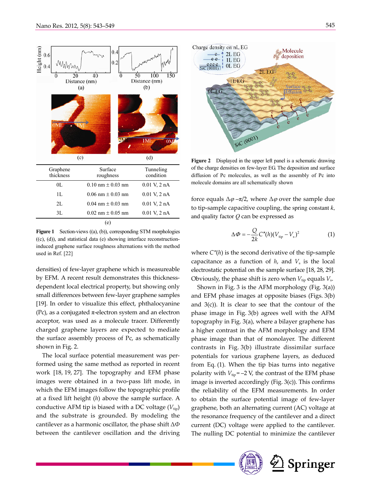

**Figure 1** Section-views ((a), (b)), corresponding STM morphologies ((c), (d)), and statistical data (e) showing interface reconstructioninduced graphene surface roughness alternations with the method used in Ref. [22]

densities) of few-layer graphene which is measureable by EFM. A recent result demonstrates this thicknessdependent local electrical property, but showing only small differences between few-layer graphene samples [19]. In order to visualize this effect, phthalocyanine (Pc), as a conjugated  $\pi$ -electron system and an electron acceptor, was used as a molecule tracer. Differently charged graphene layers are expected to mediate the surface assembly process of Pc, as schematically shown in Fig. 2.

The local surface potential measurement was performed using the same method as reported in recent work [18, 19, 27]. The topography and EFM phase images were obtained in a two-pass lift mode, in which the EFM images follow the topographic profile at a fixed lift height (*h*) above the sample surface. A conductive AFM tip is biased with a DC voltage  $(V_{\text{tip}})$ and the substrate is grounded. By modeling the cantilever as a harmonic oscillator, the phase shift Δ*Φ* between the cantilever oscillation and the driving



**Figure 2** Displayed in the upper left panel is a schematic drawing of the charge densities on few-layer EG. The deposition and surface diffusion of Pc molecules, as well as the assembly of Pc into molecule domains are all schematically shown

force equals  $\Delta \varphi - \pi/2$ , where  $\Delta \varphi$  over the sample due to tip-sample capacitive coupling, the spring constant *k*, and quality factor *Q* can be expressed as

$$
\Delta \Phi = -\frac{Q}{2k} C''(h) (V_{\text{tip}} - V_s)^2 \tag{1}
$$

where *C"*(*h*) is the second derivative of the tip-sample capacitance as a function of  $h$ , and  $V<sub>s</sub>$  is the local electrostatic potential on the sample surface [18, 28, 29]. Obviously, the phase shift is zero when  $V_{\text{tip}}$  equals  $V_{\text{s}}$ .

Shown in Fig. 3 is the AFM morphology (Fig. 3(a)) and EFM phase images at opposite biases (Figs. 3(b) and  $3(c)$ ). It is clear to see that the contour of the phase image in Fig. 3(b) agrees well with the AFM topography in Fig. 3(a), where a bilayer graphene has a higher contrast in the AFM morphology and EFM phase image than that of monolayer. The different contrasts in Fig. 3(b) illustrate dissimilar surface potentials for various graphene layers, as deduced from Eq. (1). When the tip bias turns into negative polarity with  $V_{\text{tip}}$  = –2 V, the contrast of the EFM phase image is inverted accordingly (Fig. 3(c)). This confirms the reliability of the EFM measurements. In order to obtain the surface potential image of few-layer graphene, both an alternating current (AC) voltage at the resonance frequency of the cantilever and a direct current (DC) voltage were applied to the cantilever. The nulling DC potential to minimize the cantilever



Springer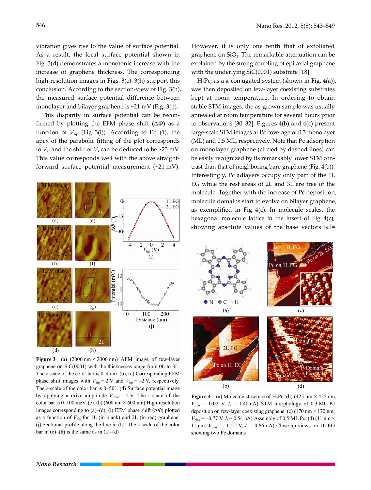vibration gives rise to the value of surface potential. As a result, the local surface potential shown in Fig. 3(d) demonstrates a monotonic increase with the increase of graphene thickness. The corresponding high-resolution images in Figs. 3(e)–3(h) support this conclusion. According to the section-view of Fig. 3(h), the measured surface potential difference between monolayer and bilayer graphene is  $\sim$ 21 mV (Fig. 3(j)).

This disparity in surface potential can be reconfirmed by plotting the EFM phase shift (Δ*Φ*) as a function of  $V_{\text{tip}}$  (Fig. 3(i)). According to Eq. (1), the apex of the parabolic fitting of the plot corresponds to  $V_s$ , and the shift of  $V_s$  can be deduced to be ~23 mV. This value corresponds well with the above straightforward surface potential measurement (~21 mV).



**Figure 3** (a)  $(2000 \text{ nm} \times 2000 \text{ nm})$  AFM image of few-layer graphene on SiC(0001) with the thicknesses range from 0L to 3L. The *z*-scale of the color bar is 0–4 nm. (b), (c) Corresponding EFM phase shift images with  $V_{\text{tip}} = 2 \text{ V}$  and  $V_{\text{tip}} = -2 \text{ V}$ , respectively. The *z*-scale of the color bar is 0–50°. (d) Surface potential image by applying a drive amplitude  $V_{\text{drive}} = 5$  V. The *z*-scale of the color bar is 0–100 meV. (e)–(h) (600 nm  $\times$  600 nm) High-resolution images corresponding to (a)–(d). (i) EFM phase shift (Δ*Φ*) plotted as a function of  $V_{\text{tip}}$  for 1L (in black) and 2L (in red) graphene. (j) Sectional profile along the line in (h). The *z*-scale of the color bar in  $(e)$ –(h) is the same as in  $(a)$ –(d)

However, it is only one tenth that of exfoliated graphene on  $SiO<sub>2</sub>$ . The remarkable attenuation can be explained by the strong coupling of epitaxial graphene with the underlying SiC(0001) substrate [18].

H<sub>2</sub>Pc, as a π-conjugated system (shown in Fig. 4(a)), was then deposited on few-layer coexisting substrates kept at room temperature. In ordering to obtain stable STM images, the as-grown sample was usually annealed at room temperature for several hours prior to observations [30–32]. Figures 4(b) and 4(c) present large-scale STM images at Pc coverage of 0.3 monolayer (ML) and 0.5 ML, respectively. Note that Pc adsorption on monolayer graphene (circled by dashed lines) can be easily recognized by its remarkably lower STM contrast than that of neighboring bare graphene (Fig. 4(b)). Interestingly, Pc adlayers occupy only part of the 1L EG while the rest areas of 2L and 3L are free of the molecule. Together with the increase of Pc deposition, molecule domains start to evolve on bilayer graphene, as exemplified in Fig. 4(c). In molecule scales, the hexagonal molecule lattice in the insert of Fig. 4(c), showing absolute values of the base vectors  $|a|=$ 



**Figure 4** (a) Molecule structure of H<sub>2</sub>Pc. (b) (425 nm  $\times$  425 nm,  $V_{bias} = -0.02$  V,  $I_t = 1.40$  nA) STM morphology of 0.3 ML Pc deposition on few-layer coexisting graphene. (c)  $(170 \text{ nm} \times 170 \text{ nm})$ ;  $V_{bias}$  = –0.77 V,  $I_t$  = 0.54 nA) Assembly of 0.5 ML Pc. (d) (11 nm  $\times$ 11 nm;  $V_{bias} = -0.21$  V,  $I_t = 0.66$  nA) Close-up views on 1L EG showing two Pc domains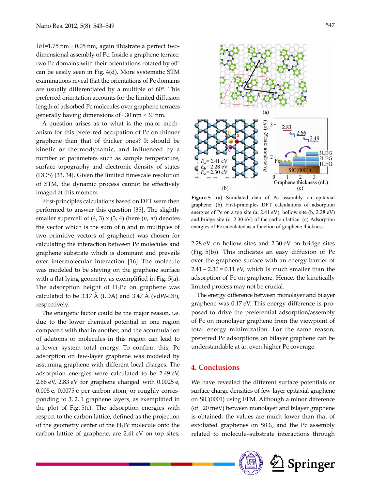$|b|=1.75$  nm  $\pm 0.05$  nm, again illustrate a perfect twodimensional assembly of Pc. Inside a graphene terrace, two Pc domains with their orientations rotated by 60° can be easily seen in Fig. 4(d). More systematic STM examinations reveal that the orientations of Pc domains are usually differentiated by a multiple of 60°. This preferred orientation accounts for the limited diffusion length of adsorbed Pc molecules over graphene terraces generally having dimensions of ~30 nm × 30 nm.

A question arises as to what is the major mechanism for this preferred occupation of Pc on thinner graphene than that of thicker ones? It should be kinetic or thermodynamic, and influenced by a number of parameters such as sample temperature, surface topography and electronic density of states (DOS) [33, 34]. Given the limited timescale resolution of STM, the dynamic process cannot be effectively imaged at this moment.

First-principles calculations based on DFT were then performed to answer this question [35]. The slightly smaller supercell of  $(4, 3) \times (3, 4)$  (here  $(n, m)$  denotes the vector which is the sum of n and m multiples of two primitive vectors of graphene) was chosen for calculating the interaction between Pc molecules and graphene substrate which is dominant and prevails over intermolecular interaction [16]. The molecule was modeled to be staying on the graphene surface with a flat lying geometry, as exemplified in Fig. 5(a). The adsorption height of  $H_2$ Pc on graphene was calculated to be 3.17 Å (LDA) and 3.47 Å (vdW-DF), respectively.

The energetic factor could be the major reason, i.e. due to the lower chemical potential in one region compared with that in another, and the accumulation of adatoms or molecules in this region can lead to a lower system total energy. To confirm this, Pc adsorption on few-layer graphene was modeled by assuming graphene with different local charges. The adsorption energies were calculated to be 2.49 eV, 2.66 eV, 2.83 eV for graphene charged with 0.0025 e, 0.005 e, 0.0075 e per carbon atom, or roughly corresponding to 3, 2, 1 graphene layers, as exemplified in the plot of Fig. 5(c). The adsorption energies with respect to the carbon lattice, defined as the projection of the geometry center of the  $H_2$ Pc molecule onto the carbon lattice of graphene, are 2.41 eV on top sites,



**Figure 5** (a) Simulated data of Pc assembly on epitaxial graphene. (b) First-principles DFT calculations of adsorption energies of Pc on a top site (a, 2.41 eV), hollow site (b, 2.28 eV) and bridge site (c, 2.30 eV) of the carbon lattice. (c) Adsorption energies of Pc calculated as a function of graphene thickness

2.28 eV on hollow sites and 2.30 eV on bridge sites (Fig. 5(b)). This indicates an easy diffusion of Pc over the graphene surface with an energy barrier of  $2.41 - 2.30 \approx 0.11$  eV, which is much smaller than the adsorption of Pc on graphene. Hence, the kinetically limited process may not be crucial.

The energy difference between monolayer and bilayer graphene was 0.17 eV. This energy difference is proposed to drive the preferential adsorption/assembly of Pc on monolayer graphene from the viewpoint of total energy minimization. For the same reason, preferred Pc adsorptions on bilayer graphene can be understandable at an even higher Pc coverage.

#### **4. Conclusions**

We have revealed the different surface potentials or surface charge densities of few-layer epitaxial graphene on SiC(0001) using EFM. Although a minor difference (of ~20 meV) between monolayer and bilayer graphene is obtained, the values are much lower than that of exfoliated graphenes on  $SiO<sub>2</sub>$ , and the Pc assembly related to molecule–substrate interactions through

Springer

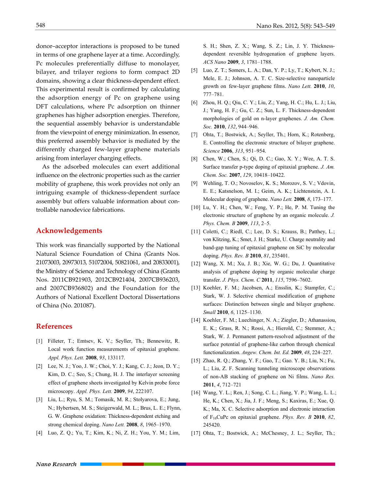donor–acceptor interactions is proposed to be tuned in terms of one graphene layer at a time. Accordingly, Pc molecules preferentially diffuse to monolayer, bilayer, and trilayer regions to form compact 2D domains, showing a clear thickness-dependent effect. This experimental result is confirmed by calculating the adsorption energy of Pc on graphene using DFT calculations, where Pc adsorption on thinner graphenes has higher adsorption energies. Therefore, the sequential assembly behavior is understandable from the viewpoint of energy minimization. In essence, this preferred assembly behavior is mediated by the differently charged few-layer graphene materials arising from interlayer charging effects.

As the adsorbed molecules can exert additional influence on the electronic properties such as the carrier mobility of graphene, this work provides not only an intriguing example of thickness-dependent surface assembly but offers valuable information about controllable nanodevice fabrications.

### **Acknowledgements**

This work was financially supported by the National Natural Science Foundation of China (Grants Nos. 21073003, 20973013, 51072004, 50821061, and 20833001), the Ministry of Science and Technology of China (Grants Nos. 2011CB921903, 2012CB921404, 2007CB936203, and 2007CB936802) and the Foundation for the Authors of National Excellent Doctoral Dissertations of China (No. 201087).

#### **References**

- [1] Filleter, T.; Emtsev, K. V.; Seyller, Th.; Bennewitz, R. Local work function measurements of epitaxial graphene. *Appl. Phys. Lett.* **2008**, *93*, 133117.
- [2] Lee, N. J.; Yoo, J. W.; Choi, Y. J.; Kang, C. J.; Jeon, D. Y.; Kim, D. C.; Seo, S.; Chung, H. J. The interlayer screening effect of graphene sheets investigated by Kelvin probe force microscopy. *Appl. Phys. Lett.* **2009**, *94*, 222107.
- [3] Liu, L.; Ryu, S. M.; Tomasik, M. R.; Stolyarova, E.; Jung, N.; Hybertsen, M. S.; Steigerwald, M. L.; Brus, L. E.; Flynn, G. W. Graphene oxidation: Thickness-dependent etching and strong chemical doping. *Nano Lett.* **2008**, *8*, 1965–1970.
- [4] Luo, Z. Q.; Yu, T.; Kim, K.; Ni, Z. H.; You, Y. M.; Lim,

S. H.; Shen, Z. X.; Wang, S. Z.; Lin, J. Y. Thicknessdependent reversible hydrogenation of graphene layers. *ACS Nano* **2009**, *3*, 1781–1788.

- [5] Luo, Z. T.; Somers, L. A.; Dan, Y. P.; Ly, T.; Kybert, N. J.; Mele, E. J.; Johnson, A. T. C. Size-selective nanoparticle growth on few-layer graphene films. *Nano Lett.* **2010**, *10*, 777–781.
- [6] Zhou, H. Q.; Qiu, C. Y.; Liu, Z.; Yang, H. C.; Hu, L. J.; Liu, J.; Yang, H. F.; Gu, C. Z.; Sun, L. F. Thickness-dependent morphologies of gold on n-layer graphenes. *J. Am. Chem. Soc.* **2010**, *132*, 944–946.
- [7] Ohta, T.; Bostwick, A.; Seyller, Th.; Horn, K.; Rotenberg, E. Controlling the electronic structure of bilayer graphene. *Science* **2006**, *313*, 951–954.
- [8] Chen, W.; Chen, S.; Qi, D. C.; Gao, X. Y.; Wee, A. T. S. Surface transfer p-type doping of epitaxial graphene. *J. Am. Chem. Soc.* **2007**, *129*, 10418–10422.
- [9] Wehling, T. O.; Novoselov, K. S.; Morozov, S. V.; Vdovin, E. E.; Katsnelson, M. I.; Geim, A. K.; Lichtenstein, A. I. Molecular doping of graphene. *Nano Lett.* **2008**, *8*, 173–177.
- [10] Lu, Y. H.; Chen, W.; Feng, Y. P.; He, P. M. Tuning the electronic structure of graphene by an organic molecule. *J. Phys. Chem. B* **2009**, *113*, 2–5.
- [11] Coletti, C.; Riedl, C.; Lee, D. S.; Krauss, B.; Patthey, L.; von Klitzing, K.; Smet, J. H.; Starke, U. Charge neutrality and band-gap tuning of epitaxial graphene on SiC by molecular doping. *Phys. Rev. B* **2010**, *81*, 235401.
- [12] Wang, X. M.; Xu, J. B.; Xie, W. G.; Du, J. Quantitative analysis of graphene doping by organic molecular charge transfer. *J. Phys. Chem. C* **2011**, *115*, 7596–7602.
- [13] Koehler, F. M.; Jacobsen, A.; Ensslin, K.; Stampfer, C.; Stark, W. J. Selective chemical modification of graphene surfaces: Distinction between single and bilayer graphene. *Small* **2010**, *6*, 1125–1130.
- [14] Koehler, F. M.; Luechinger, N. A.; Ziegler, D.; Athanassiou, E. K.; Grass, R. N.; Rossi, A.; Hierold, C.; Stemmer, A.; Stark, W. J. Permanent pattern-resolved adjustment of the surface potential of graphene-like carbon through chemical functionalization. *Angew. Chem. Int. Ed.* **2009**, *48*, 224–227.
- [15] Zhao, R. Q.; Zhang, Y. F.; Gao, T.; Gao. Y. B.; Liu, N.; Fu, L.; Liu, Z. F. Scanning tunneling microscope observations of non-AB stacking of graphene on Ni films. *Nano Res.*  **2011**, *4*, 712–721
- [16] Wang, Y. L.; Ren, J.; Song, C. L.; Jiang, Y. P.; Wang, L. L.; He, K.; Chen, X.; Jia, J. F.; Meng, S.; Kaxiras, E.; Xue, Q. K.; Ma, X. C. Selective adsorption and electronic interaction of F16CuPc on epitaxial graphene. *Phys. Rev. B* **2010**, *82*, 245420.
- [17] Ohta, T.; Bostwick, A.; McChesney, J. L.; Seyller, Th.;